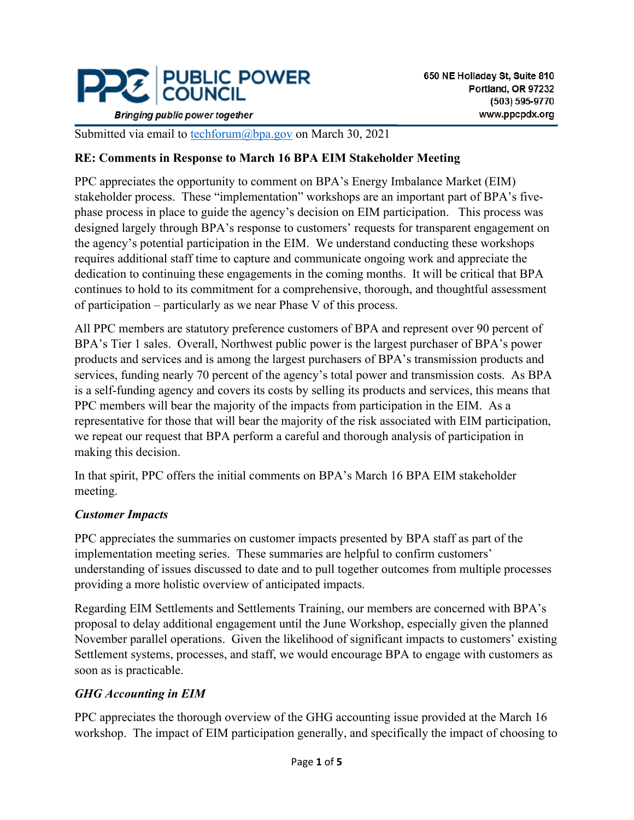

**Bringing public power together** 

Submitted via email to [techforum@bpa.gov](mailto:techforum@bpa.gov) on March 30, 2021

### **RE: Comments in Response to March 16 BPA EIM Stakeholder Meeting**

PPC appreciates the opportunity to comment on BPA's Energy Imbalance Market (EIM) stakeholder process. These "implementation" workshops are an important part of BPA's fivephase process in place to guide the agency's decision on EIM participation. This process was designed largely through BPA's response to customers' requests for transparent engagement on the agency's potential participation in the EIM. We understand conducting these workshops requires additional staff time to capture and communicate ongoing work and appreciate the dedication to continuing these engagements in the coming months. It will be critical that BPA continues to hold to its commitment for a comprehensive, thorough, and thoughtful assessment of participation – particularly as we near Phase V of this process.

All PPC members are statutory preference customers of BPA and represent over 90 percent of BPA's Tier 1 sales. Overall, Northwest public power is the largest purchaser of BPA's power products and services and is among the largest purchasers of BPA's transmission products and services, funding nearly 70 percent of the agency's total power and transmission costs. As BPA is a self-funding agency and covers its costs by selling its products and services, this means that PPC members will bear the majority of the impacts from participation in the EIM. As a representative for those that will bear the majority of the risk associated with EIM participation, we repeat our request that BPA perform a careful and thorough analysis of participation in making this decision.

In that spirit, PPC offers the initial comments on BPA's March 16 BPA EIM stakeholder meeting.

### *Customer Impacts*

PPC appreciates the summaries on customer impacts presented by BPA staff as part of the implementation meeting series. These summaries are helpful to confirm customers' understanding of issues discussed to date and to pull together outcomes from multiple processes providing a more holistic overview of anticipated impacts.

Regarding EIM Settlements and Settlements Training, our members are concerned with BPA's proposal to delay additional engagement until the June Workshop, especially given the planned November parallel operations. Given the likelihood of significant impacts to customers' existing Settlement systems, processes, and staff, we would encourage BPA to engage with customers as soon as is practicable.

### *GHG Accounting in EIM*

PPC appreciates the thorough overview of the GHG accounting issue provided at the March 16 workshop. The impact of EIM participation generally, and specifically the impact of choosing to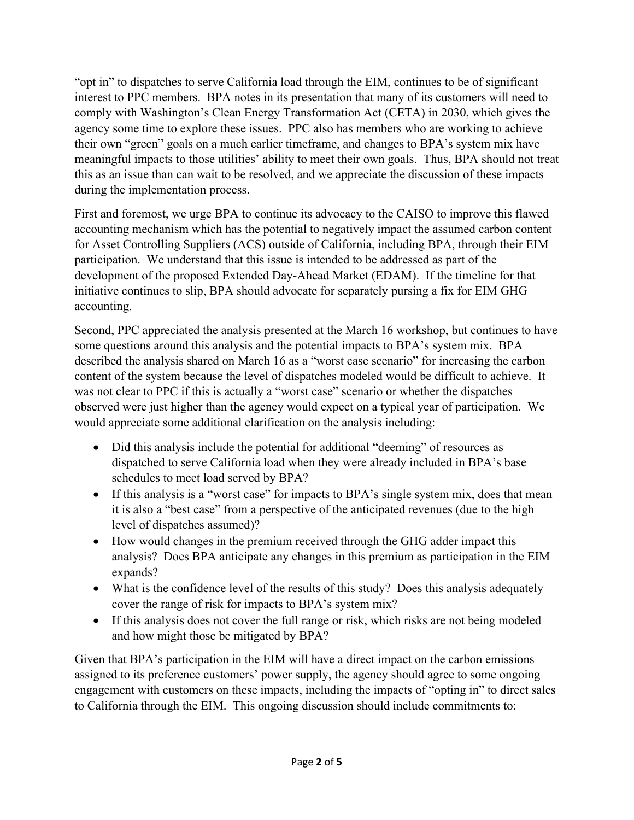"opt in" to dispatches to serve California load through the EIM, continues to be of significant interest to PPC members. BPA notes in its presentation that many of its customers will need to comply with Washington's Clean Energy Transformation Act (CETA) in 2030, which gives the agency some time to explore these issues. PPC also has members who are working to achieve their own "green" goals on a much earlier timeframe, and changes to BPA's system mix have meaningful impacts to those utilities' ability to meet their own goals. Thus, BPA should not treat this as an issue than can wait to be resolved, and we appreciate the discussion of these impacts during the implementation process.

First and foremost, we urge BPA to continue its advocacy to the CAISO to improve this flawed accounting mechanism which has the potential to negatively impact the assumed carbon content for Asset Controlling Suppliers (ACS) outside of California, including BPA, through their EIM participation. We understand that this issue is intended to be addressed as part of the development of the proposed Extended Day-Ahead Market (EDAM). If the timeline for that initiative continues to slip, BPA should advocate for separately pursing a fix for EIM GHG accounting.

Second, PPC appreciated the analysis presented at the March 16 workshop, but continues to have some questions around this analysis and the potential impacts to BPA's system mix. BPA described the analysis shared on March 16 as a "worst case scenario" for increasing the carbon content of the system because the level of dispatches modeled would be difficult to achieve. It was not clear to PPC if this is actually a "worst case" scenario or whether the dispatches observed were just higher than the agency would expect on a typical year of participation. We would appreciate some additional clarification on the analysis including:

- Did this analysis include the potential for additional "deeming" of resources as dispatched to serve California load when they were already included in BPA's base schedules to meet load served by BPA?
- If this analysis is a "worst case" for impacts to BPA's single system mix, does that mean it is also a "best case" from a perspective of the anticipated revenues (due to the high level of dispatches assumed)?
- How would changes in the premium received through the GHG adder impact this analysis? Does BPA anticipate any changes in this premium as participation in the EIM expands?
- What is the confidence level of the results of this study? Does this analysis adequately cover the range of risk for impacts to BPA's system mix?
- If this analysis does not cover the full range or risk, which risks are not being modeled and how might those be mitigated by BPA?

Given that BPA's participation in the EIM will have a direct impact on the carbon emissions assigned to its preference customers' power supply, the agency should agree to some ongoing engagement with customers on these impacts, including the impacts of "opting in" to direct sales to California through the EIM. This ongoing discussion should include commitments to: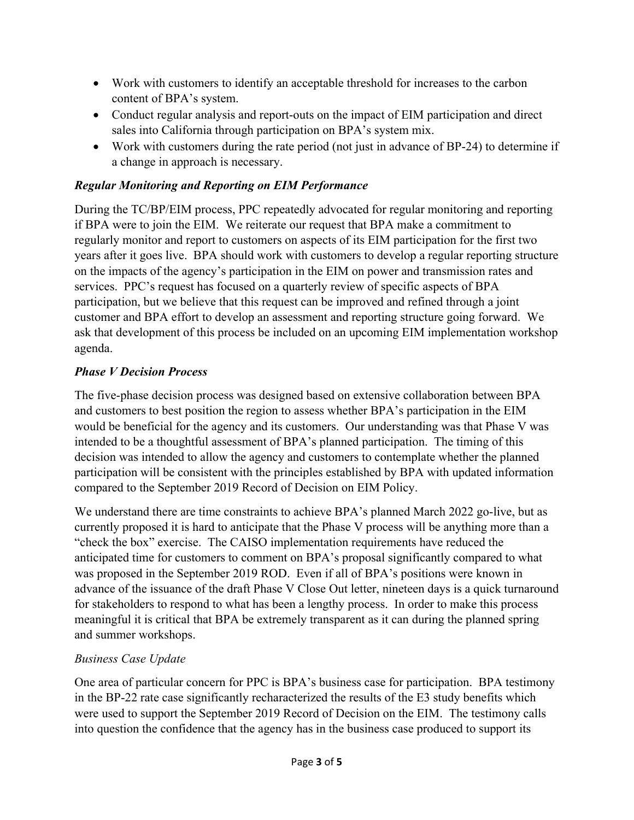- Work with customers to identify an acceptable threshold for increases to the carbon content of BPA's system.
- Conduct regular analysis and report-outs on the impact of EIM participation and direct sales into California through participation on BPA's system mix.
- Work with customers during the rate period (not just in advance of BP-24) to determine if a change in approach is necessary.

## *Regular Monitoring and Reporting on EIM Performance*

During the TC/BP/EIM process, PPC repeatedly advocated for regular monitoring and reporting if BPA were to join the EIM. We reiterate our request that BPA make a commitment to regularly monitor and report to customers on aspects of its EIM participation for the first two years after it goes live. BPA should work with customers to develop a regular reporting structure on the impacts of the agency's participation in the EIM on power and transmission rates and services. PPC's request has focused on a quarterly review of specific aspects of BPA participation, but we believe that this request can be improved and refined through a joint customer and BPA effort to develop an assessment and reporting structure going forward. We ask that development of this process be included on an upcoming EIM implementation workshop agenda.

## *Phase V Decision Process*

The five-phase decision process was designed based on extensive collaboration between BPA and customers to best position the region to assess whether BPA's participation in the EIM would be beneficial for the agency and its customers. Our understanding was that Phase V was intended to be a thoughtful assessment of BPA's planned participation. The timing of this decision was intended to allow the agency and customers to contemplate whether the planned participation will be consistent with the principles established by BPA with updated information compared to the September 2019 Record of Decision on EIM Policy.

We understand there are time constraints to achieve BPA's planned March 2022 go-live, but as currently proposed it is hard to anticipate that the Phase V process will be anything more than a "check the box" exercise. The CAISO implementation requirements have reduced the anticipated time for customers to comment on BPA's proposal significantly compared to what was proposed in the September 2019 ROD. Even if all of BPA's positions were known in advance of the issuance of the draft Phase V Close Out letter, nineteen days is a quick turnaround for stakeholders to respond to what has been a lengthy process. In order to make this process meaningful it is critical that BPA be extremely transparent as it can during the planned spring and summer workshops.

### *Business Case Update*

One area of particular concern for PPC is BPA's business case for participation. BPA testimony in the BP-22 rate case significantly recharacterized the results of the E3 study benefits which were used to support the September 2019 Record of Decision on the EIM. The testimony calls into question the confidence that the agency has in the business case produced to support its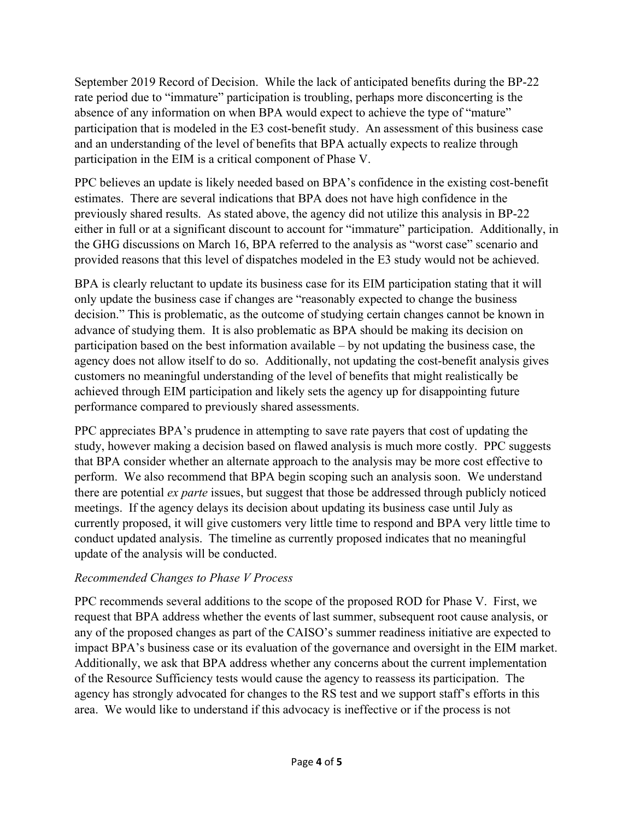September 2019 Record of Decision. While the lack of anticipated benefits during the BP-22 rate period due to "immature" participation is troubling, perhaps more disconcerting is the absence of any information on when BPA would expect to achieve the type of "mature" participation that is modeled in the E3 cost-benefit study. An assessment of this business case and an understanding of the level of benefits that BPA actually expects to realize through participation in the EIM is a critical component of Phase V.

PPC believes an update is likely needed based on BPA's confidence in the existing cost-benefit estimates. There are several indications that BPA does not have high confidence in the previously shared results. As stated above, the agency did not utilize this analysis in BP-22 either in full or at a significant discount to account for "immature" participation. Additionally, in the GHG discussions on March 16, BPA referred to the analysis as "worst case" scenario and provided reasons that this level of dispatches modeled in the E3 study would not be achieved.

BPA is clearly reluctant to update its business case for its EIM participation stating that it will only update the business case if changes are "reasonably expected to change the business decision." This is problematic, as the outcome of studying certain changes cannot be known in advance of studying them. It is also problematic as BPA should be making its decision on participation based on the best information available – by not updating the business case, the agency does not allow itself to do so. Additionally, not updating the cost-benefit analysis gives customers no meaningful understanding of the level of benefits that might realistically be achieved through EIM participation and likely sets the agency up for disappointing future performance compared to previously shared assessments.

PPC appreciates BPA's prudence in attempting to save rate payers that cost of updating the study, however making a decision based on flawed analysis is much more costly. PPC suggests that BPA consider whether an alternate approach to the analysis may be more cost effective to perform. We also recommend that BPA begin scoping such an analysis soon. We understand there are potential *ex parte* issues, but suggest that those be addressed through publicly noticed meetings. If the agency delays its decision about updating its business case until July as currently proposed, it will give customers very little time to respond and BPA very little time to conduct updated analysis. The timeline as currently proposed indicates that no meaningful update of the analysis will be conducted.

### *Recommended Changes to Phase V Process*

PPC recommends several additions to the scope of the proposed ROD for Phase V. First, we request that BPA address whether the events of last summer, subsequent root cause analysis, or any of the proposed changes as part of the CAISO's summer readiness initiative are expected to impact BPA's business case or its evaluation of the governance and oversight in the EIM market. Additionally, we ask that BPA address whether any concerns about the current implementation of the Resource Sufficiency tests would cause the agency to reassess its participation. The agency has strongly advocated for changes to the RS test and we support staff's efforts in this area. We would like to understand if this advocacy is ineffective or if the process is not